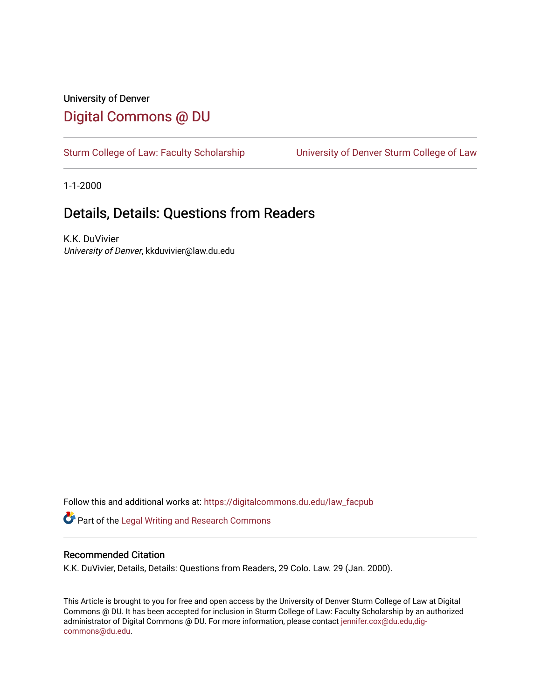## University of Denver [Digital Commons @ DU](https://digitalcommons.du.edu/)

[Sturm College of Law: Faculty Scholarship](https://digitalcommons.du.edu/law_facpub) [University of Denver Sturm College of Law](https://digitalcommons.du.edu/denver_law) 

1-1-2000

## Details, Details: Questions from Readers

K.K. DuVivier University of Denver, kkduvivier@law.du.edu

Follow this and additional works at: [https://digitalcommons.du.edu/law\\_facpub](https://digitalcommons.du.edu/law_facpub?utm_source=digitalcommons.du.edu%2Flaw_facpub%2F385&utm_medium=PDF&utm_campaign=PDFCoverPages) 

Part of the [Legal Writing and Research Commons](http://network.bepress.com/hgg/discipline/614?utm_source=digitalcommons.du.edu%2Flaw_facpub%2F385&utm_medium=PDF&utm_campaign=PDFCoverPages) 

### Recommended Citation

K.K. DuVivier, Details, Details: Questions from Readers, 29 Colo. Law. 29 (Jan. 2000).

This Article is brought to you for free and open access by the University of Denver Sturm College of Law at Digital Commons @ DU. It has been accepted for inclusion in Sturm College of Law: Faculty Scholarship by an authorized administrator of Digital Commons @ DU. For more information, please contact [jennifer.cox@du.edu,dig](mailto:jennifer.cox@du.edu,dig-commons@du.edu)[commons@du.edu.](mailto:jennifer.cox@du.edu,dig-commons@du.edu)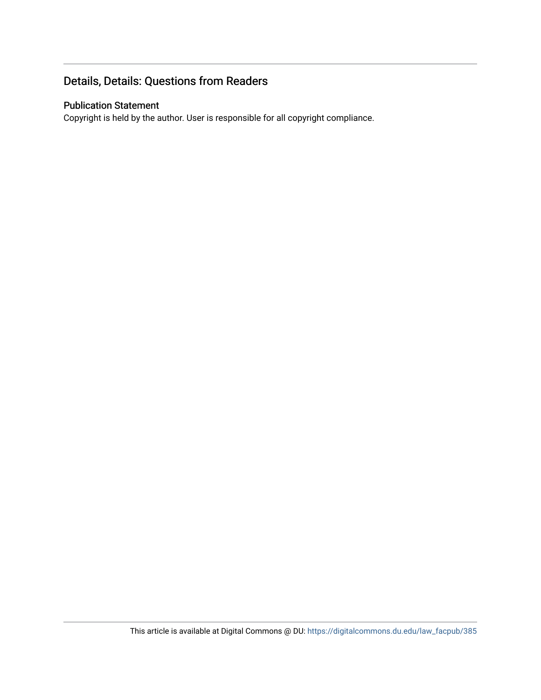## Details, Details: Questions from Readers

### Publication Statement

Copyright is held by the author. User is responsible for all copyright compliance.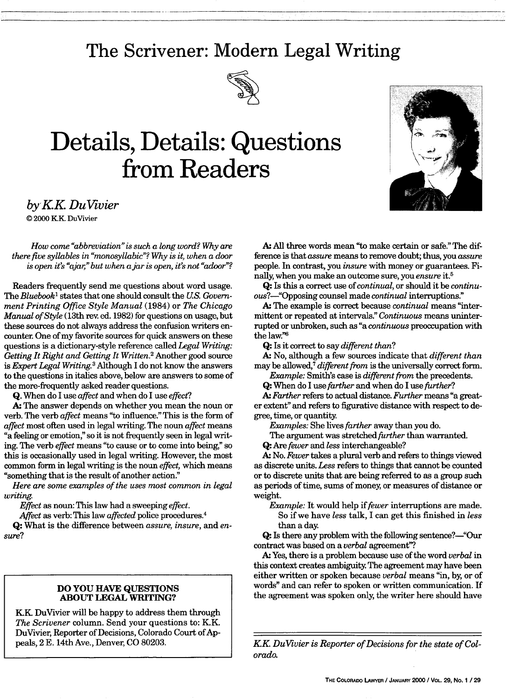## **The Scrivener: Modern Legal Writing**



## **Details, Details: Questions from Readers**



*by K.K. DuVivier* © 2000 KK DuVivier

*How come "abbreviation"is such a long word? Why are there five syllables in "monosyllabic"? Why is it, when a door is open it's "ajar," but when a jar is open, it's not "adoor"?* 

Readers frequently send me questions about word usage. The *Bluebook'* states that one should consult the **US.** *Government Printing Office Style Manual* (1984) or *The Chicago Manual of Style* (13th rev. ed. 1982) for questions on usage, but these sources do not always address the confusion writers encounter. One of my favorite sources for quick answers on these questions is a dictionary-style reference called *Legal Writing: Getting It Right and Getting It Written.2* Another good source *is Expert Legal Writing.3* Although I do not know the answers to the questions in italics above, below are answers to some of the more-frequently asked reader questions.

**Q.** When do I use *affect* and when do I use *effect?*

A: The answer depends on whether you mean the noun or verb. The verb *affect* means "to influence." This is the form of *affect* most often used in legal writing. The noun *affect* means "a feeling or emotion," so it is not frequently seen in legal writing. The verb *effect* means "to cause or to come into being," so this is occasionally used in legal writing. However, the most common form in legal writing is the noun *effect,* which means "something that is the result of another action."

*Here are some examples of the uses most common in legal writing.*

*Effect* as noun: This law had a sweeping *effect.*

Affect as verb: This law *affected* police procedures.<sup>4</sup>

**Q:** What is the difference between *assure, insure,* and *ensure?*

### **DO YOU HAVE QUESTIONS ABOUT LEGAL WRITING?**

KK DuVivier will be happy to address them through *The Scrivener* column. Send your questions to: K.K. DuVivier, Reporter of Decisions, Colorado Court of Appeals, 2 **E.** 14th Ave., Denver, **CO 80203.**

**A. All** three words mean "to make certain or safe." The difference is that *assure* means to remove doubt; thus, you *assure* people. In contrast, you *insure* with money or guarantees. Finally, when you make an outcome sure, you *ensure* it.<sup>5</sup>

**Q:** Is this a correct use of *continual,* or should it be *continu*ous?---"Opposing counsel made *continual* interruptions."

**A.** The example is correct because *continual* means "intermittent or repeated at intervals" *Continuous* means uninterrupted or unbroken, such as "a *continuous* preoccupation with the law."6

**Q:** Is it correct to say *different than?*

**A.** No, although a few sources indicate that *different than* may be allowed,<sup>7</sup> different from is the universally correct form.

*Example:* Smith's case is *different from* the precedents.

**Q:** When do I use *farther* and when do I use *further?*

*A. Farther* refers to actual distance. *Further* means "a greater extent" and refers to figurative distance with respect to degree, time, or quantity.

*Examples:* She lives *farther* away than you do.

The argument was stretched *further* than warranted.

**Q:** Are *fewer and less* interchangeable?

**A.** No. *Fewer* takes a plural verb and refers to things viewed as discrete units. *Less* refers to things that cannot be counted or to discrete units that are being referred to as a group such as periods of time, sums of money, or measures of distance or weight.

*Example:* It would help if *fewer* interruptions are made. So if we have *less* talk, I can get this finished in *less* than a day.

**Q:** Is there any problem with the following sentence?—"Our contract was based on a *verbal* agreement"?

**A.** Yes, there is a problem because use of the word *verbal* in this context creates ambiguity. The agreement may have been either written or spoken because *verbal* means "in, **by,** or of words" and can refer to spoken or written communication. If the agreement was spoken only, the writer here should have

*KK DuVivier is Reporter of Decisions for the state of Colorado.*